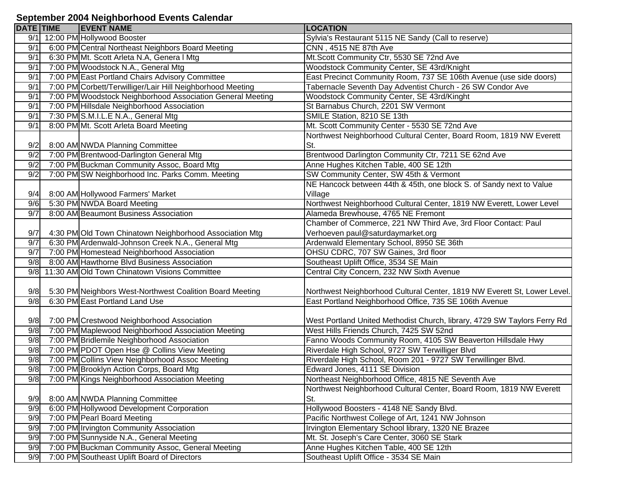## **September 2004 Neighborhood Events Calendar**

| 12:00 PM Hollywood Booster<br>Sylvia's Restaurant 5115 NE Sandy (Call to reserve)<br>9/1<br>6:00 PM Central Northeast Neighbors Board Meeting<br>9/1<br>CNN, 4515 NE 87th Ave<br>Mt.Scott Community Ctr, 5530 SE 72nd Ave<br>9/1<br>6:30 PM Mt. Scott Arleta N.A, Genera I Mtg<br>7:00 PM Woodstock N.A., General Mtg<br>Woodstock Community Center, SE 43rd/Knight<br>9/1<br>7:00 PM East Portland Chairs Advisory Committee<br>East Precinct Community Room, 737 SE 106th Avenue (use side doors)<br>9/1<br>7:00 PM Corbett/Terwilliger/Lair Hill Neighborhood Meeting<br>Tabernacle Seventh Day Adventist Church - 26 SW Condor Ave<br>9/1<br>7:00 PM Woodstock Neighborhood Association General Meeting<br>Woodstock Community Center, SE 43rd/Kinght<br>9/1<br>7:00 PM Hillsdale Neighborhood Association<br>St Barnabus Church, 2201 SW Vermont<br>9/1<br>7:30 PM S.M.I.L.E N.A., General Mtg<br>9/1<br>SMILE Station, 8210 SE 13th<br>Mt. Scott Community Center - 5530 SE 72nd Ave<br>9/1<br>8:00 PM Mt. Scott Arleta Board Meeting<br>Northwest Neighborhood Cultural Center, Board Room, 1819 NW Everett<br>9/2<br>8:00 AM NWDA Planning Committee<br>St.<br>7:00 PM Brentwood-Darlington General Mtg<br>Brentwood Darlington Community Ctr, 7211 SE 62nd Ave<br>9/2<br>9/2<br>7:00 PM Buckman Community Assoc, Board Mtg<br>Anne Hughes Kitchen Table, 400 SE 12th<br>9/2<br>7:00 PM SW Neighborhood Inc. Parks Comm. Meeting<br>SW Community Center, SW 45th & Vermont<br>NE Hancock between 44th & 45th, one block S. of Sandy next to Value<br>8:00 AM Hollywood Farmers' Market<br>9/4<br>Village<br>5:30 PM NWDA Board Meeting<br>Northwest Neighborhood Cultural Center, 1819 NW Everett, Lower Level<br>9/6<br>9/7<br>8:00 AM Beaumont Business Association<br>Alameda Brewhouse, 4765 NE Fremont<br>Chamber of Commerce, 221 NW Third Ave, 3rd Floor Contact: Paul<br>Verhoeven paul@saturdaymarket.org<br>9/7<br>4:30 PM Old Town Chinatown Neighborhood Association Mtg<br>6:30 PM Ardenwald-Johnson Creek N.A., General Mtg<br>Ardenwald Elementary School, 8950 SE 36th<br>9/7<br>7:00 PM Homestead Neighborhood Association<br>OHSU CDRC, 707 SW Gaines, 3rd floor<br>9/7<br>8:00 AM Hawthorne Blvd Business Association<br>Southeast Uplift Office, 3534 SE Main<br>9/8<br>9/8 11:30 AM Old Town Chinatown Visions Committee<br>Central City Concern, 232 NW Sixth Avenue<br>9/8<br>5:30 PM Neighbors West-Northwest Coalition Board Meeting<br>6:30 PM East Portland Land Use<br>East Portland Neighborhood Office, 735 SE 106th Avenue<br>9/8<br>9/8<br>7:00 PM Crestwood Neighborhood Association<br>West Portland United Methodist Church, library, 4729 SW Taylors Ferry Rd<br>9/8<br>7:00 PM Maplewood Neighborhood Association Meeting<br>West Hills Friends Church, 7425 SW 52nd<br>9/8<br>7:00 PM Bridlemile Neighborhood Association<br>Fanno Woods Community Room, 4105 SW Beaverton Hillsdale Hwy<br>9/8<br>7:00 PM PDOT Open Hse @ Collins View Meeting<br>Riverdale High School, 9727 SW Terwilliger Blvd<br>9/8<br>7:00 PM Collins View Neighborhood Assoc Meeting<br>Riverdale High School, Room 201 - 9727 SW Terwillinger Blvd.<br>9/8<br>7:00 PM Brooklyn Action Corps, Board Mtg<br>Edward Jones, 4111 SE Division<br>9/8<br>7:00 PM Kings Neighborhood Association Meeting<br>Northeast Neighborhood Office, 4815 NE Seventh Ave<br>Northwest Neighborhood Cultural Center, Board Room, 1819 NW Everett<br>9/9<br>8:00 AM NWDA Planning Committee<br>St.<br>6:00 PM Hollywood Development Corporation<br>Hollywood Boosters - 4148 NE Sandy Blvd.<br>9/9<br>9/9<br>7:00 PM Pearl Board Meeting<br>Pacific Northwest College of Art, 1241 NW Johnson<br>9/9<br>7:00 PM Irvington Community Association<br>Irvington Elementary School library, 1320 NE Brazee<br>7:00 PM Sunnyside N.A., General Meeting<br>Mt. St. Joseph's Care Center, 3060 SE Stark<br>9/9<br>7:00 PM Buckman Community Assoc, General Meeting<br>Anne Hughes Kitchen Table, 400 SE 12th<br>9/9 |     | <b>DATE TIME</b> | <b>EVENT NAME</b>                           | <b>LOCATION</b>                        |
|------------------------------------------------------------------------------------------------------------------------------------------------------------------------------------------------------------------------------------------------------------------------------------------------------------------------------------------------------------------------------------------------------------------------------------------------------------------------------------------------------------------------------------------------------------------------------------------------------------------------------------------------------------------------------------------------------------------------------------------------------------------------------------------------------------------------------------------------------------------------------------------------------------------------------------------------------------------------------------------------------------------------------------------------------------------------------------------------------------------------------------------------------------------------------------------------------------------------------------------------------------------------------------------------------------------------------------------------------------------------------------------------------------------------------------------------------------------------------------------------------------------------------------------------------------------------------------------------------------------------------------------------------------------------------------------------------------------------------------------------------------------------------------------------------------------------------------------------------------------------------------------------------------------------------------------------------------------------------------------------------------------------------------------------------------------------------------------------------------------------------------------------------------------------------------------------------------------------------------------------------------------------------------------------------------------------------------------------------------------------------------------------------------------------------------------------------------------------------------------------------------------------------------------------------------------------------------------------------------------------------------------------------------------------------------------------------------------------------------------------------------------------------------------------------------------------------------------------------------------------------------------------------------------------------------------------------------------------------------------------------------------------------------------------------------------------------------------------------------------------------------------------------------------------------------------------------------------------------------------------------------------------------------------------------------------------------------------------------------------------------------------------------------------------------------------------------------------------------------------------------------------------------------------------------------------------------------------------------------------------------------------------------------------------------------------------------------------------------------------------------------------------------------------------------------------------------------------------------------------------------------------------------------------------------------------------------------------------------------------------------------------|-----|------------------|---------------------------------------------|----------------------------------------|
|                                                                                                                                                                                                                                                                                                                                                                                                                                                                                                                                                                                                                                                                                                                                                                                                                                                                                                                                                                                                                                                                                                                                                                                                                                                                                                                                                                                                                                                                                                                                                                                                                                                                                                                                                                                                                                                                                                                                                                                                                                                                                                                                                                                                                                                                                                                                                                                                                                                                                                                                                                                                                                                                                                                                                                                                                                                                                                                                                                                                                                                                                                                                                                                                                                                                                                                                                                                                                                                                                                                                                                                                                                                                                                                                                                                                                                                                                                                                                                                                                  |     |                  |                                             |                                        |
|                                                                                                                                                                                                                                                                                                                                                                                                                                                                                                                                                                                                                                                                                                                                                                                                                                                                                                                                                                                                                                                                                                                                                                                                                                                                                                                                                                                                                                                                                                                                                                                                                                                                                                                                                                                                                                                                                                                                                                                                                                                                                                                                                                                                                                                                                                                                                                                                                                                                                                                                                                                                                                                                                                                                                                                                                                                                                                                                                                                                                                                                                                                                                                                                                                                                                                                                                                                                                                                                                                                                                                                                                                                                                                                                                                                                                                                                                                                                                                                                                  |     |                  |                                             |                                        |
|                                                                                                                                                                                                                                                                                                                                                                                                                                                                                                                                                                                                                                                                                                                                                                                                                                                                                                                                                                                                                                                                                                                                                                                                                                                                                                                                                                                                                                                                                                                                                                                                                                                                                                                                                                                                                                                                                                                                                                                                                                                                                                                                                                                                                                                                                                                                                                                                                                                                                                                                                                                                                                                                                                                                                                                                                                                                                                                                                                                                                                                                                                                                                                                                                                                                                                                                                                                                                                                                                                                                                                                                                                                                                                                                                                                                                                                                                                                                                                                                                  |     |                  |                                             |                                        |
| Northwest Neighborhood Cultural Center, 1819 NW Everett St, Lower Level.                                                                                                                                                                                                                                                                                                                                                                                                                                                                                                                                                                                                                                                                                                                                                                                                                                                                                                                                                                                                                                                                                                                                                                                                                                                                                                                                                                                                                                                                                                                                                                                                                                                                                                                                                                                                                                                                                                                                                                                                                                                                                                                                                                                                                                                                                                                                                                                                                                                                                                                                                                                                                                                                                                                                                                                                                                                                                                                                                                                                                                                                                                                                                                                                                                                                                                                                                                                                                                                                                                                                                                                                                                                                                                                                                                                                                                                                                                                                         |     |                  |                                             |                                        |
|                                                                                                                                                                                                                                                                                                                                                                                                                                                                                                                                                                                                                                                                                                                                                                                                                                                                                                                                                                                                                                                                                                                                                                                                                                                                                                                                                                                                                                                                                                                                                                                                                                                                                                                                                                                                                                                                                                                                                                                                                                                                                                                                                                                                                                                                                                                                                                                                                                                                                                                                                                                                                                                                                                                                                                                                                                                                                                                                                                                                                                                                                                                                                                                                                                                                                                                                                                                                                                                                                                                                                                                                                                                                                                                                                                                                                                                                                                                                                                                                                  |     |                  |                                             |                                        |
|                                                                                                                                                                                                                                                                                                                                                                                                                                                                                                                                                                                                                                                                                                                                                                                                                                                                                                                                                                                                                                                                                                                                                                                                                                                                                                                                                                                                                                                                                                                                                                                                                                                                                                                                                                                                                                                                                                                                                                                                                                                                                                                                                                                                                                                                                                                                                                                                                                                                                                                                                                                                                                                                                                                                                                                                                                                                                                                                                                                                                                                                                                                                                                                                                                                                                                                                                                                                                                                                                                                                                                                                                                                                                                                                                                                                                                                                                                                                                                                                                  |     |                  |                                             |                                        |
|                                                                                                                                                                                                                                                                                                                                                                                                                                                                                                                                                                                                                                                                                                                                                                                                                                                                                                                                                                                                                                                                                                                                                                                                                                                                                                                                                                                                                                                                                                                                                                                                                                                                                                                                                                                                                                                                                                                                                                                                                                                                                                                                                                                                                                                                                                                                                                                                                                                                                                                                                                                                                                                                                                                                                                                                                                                                                                                                                                                                                                                                                                                                                                                                                                                                                                                                                                                                                                                                                                                                                                                                                                                                                                                                                                                                                                                                                                                                                                                                                  |     |                  |                                             |                                        |
|                                                                                                                                                                                                                                                                                                                                                                                                                                                                                                                                                                                                                                                                                                                                                                                                                                                                                                                                                                                                                                                                                                                                                                                                                                                                                                                                                                                                                                                                                                                                                                                                                                                                                                                                                                                                                                                                                                                                                                                                                                                                                                                                                                                                                                                                                                                                                                                                                                                                                                                                                                                                                                                                                                                                                                                                                                                                                                                                                                                                                                                                                                                                                                                                                                                                                                                                                                                                                                                                                                                                                                                                                                                                                                                                                                                                                                                                                                                                                                                                                  |     |                  |                                             |                                        |
|                                                                                                                                                                                                                                                                                                                                                                                                                                                                                                                                                                                                                                                                                                                                                                                                                                                                                                                                                                                                                                                                                                                                                                                                                                                                                                                                                                                                                                                                                                                                                                                                                                                                                                                                                                                                                                                                                                                                                                                                                                                                                                                                                                                                                                                                                                                                                                                                                                                                                                                                                                                                                                                                                                                                                                                                                                                                                                                                                                                                                                                                                                                                                                                                                                                                                                                                                                                                                                                                                                                                                                                                                                                                                                                                                                                                                                                                                                                                                                                                                  |     |                  |                                             |                                        |
|                                                                                                                                                                                                                                                                                                                                                                                                                                                                                                                                                                                                                                                                                                                                                                                                                                                                                                                                                                                                                                                                                                                                                                                                                                                                                                                                                                                                                                                                                                                                                                                                                                                                                                                                                                                                                                                                                                                                                                                                                                                                                                                                                                                                                                                                                                                                                                                                                                                                                                                                                                                                                                                                                                                                                                                                                                                                                                                                                                                                                                                                                                                                                                                                                                                                                                                                                                                                                                                                                                                                                                                                                                                                                                                                                                                                                                                                                                                                                                                                                  |     |                  |                                             |                                        |
|                                                                                                                                                                                                                                                                                                                                                                                                                                                                                                                                                                                                                                                                                                                                                                                                                                                                                                                                                                                                                                                                                                                                                                                                                                                                                                                                                                                                                                                                                                                                                                                                                                                                                                                                                                                                                                                                                                                                                                                                                                                                                                                                                                                                                                                                                                                                                                                                                                                                                                                                                                                                                                                                                                                                                                                                                                                                                                                                                                                                                                                                                                                                                                                                                                                                                                                                                                                                                                                                                                                                                                                                                                                                                                                                                                                                                                                                                                                                                                                                                  |     |                  |                                             |                                        |
|                                                                                                                                                                                                                                                                                                                                                                                                                                                                                                                                                                                                                                                                                                                                                                                                                                                                                                                                                                                                                                                                                                                                                                                                                                                                                                                                                                                                                                                                                                                                                                                                                                                                                                                                                                                                                                                                                                                                                                                                                                                                                                                                                                                                                                                                                                                                                                                                                                                                                                                                                                                                                                                                                                                                                                                                                                                                                                                                                                                                                                                                                                                                                                                                                                                                                                                                                                                                                                                                                                                                                                                                                                                                                                                                                                                                                                                                                                                                                                                                                  |     |                  |                                             |                                        |
|                                                                                                                                                                                                                                                                                                                                                                                                                                                                                                                                                                                                                                                                                                                                                                                                                                                                                                                                                                                                                                                                                                                                                                                                                                                                                                                                                                                                                                                                                                                                                                                                                                                                                                                                                                                                                                                                                                                                                                                                                                                                                                                                                                                                                                                                                                                                                                                                                                                                                                                                                                                                                                                                                                                                                                                                                                                                                                                                                                                                                                                                                                                                                                                                                                                                                                                                                                                                                                                                                                                                                                                                                                                                                                                                                                                                                                                                                                                                                                                                                  |     |                  |                                             |                                        |
|                                                                                                                                                                                                                                                                                                                                                                                                                                                                                                                                                                                                                                                                                                                                                                                                                                                                                                                                                                                                                                                                                                                                                                                                                                                                                                                                                                                                                                                                                                                                                                                                                                                                                                                                                                                                                                                                                                                                                                                                                                                                                                                                                                                                                                                                                                                                                                                                                                                                                                                                                                                                                                                                                                                                                                                                                                                                                                                                                                                                                                                                                                                                                                                                                                                                                                                                                                                                                                                                                                                                                                                                                                                                                                                                                                                                                                                                                                                                                                                                                  |     |                  |                                             |                                        |
|                                                                                                                                                                                                                                                                                                                                                                                                                                                                                                                                                                                                                                                                                                                                                                                                                                                                                                                                                                                                                                                                                                                                                                                                                                                                                                                                                                                                                                                                                                                                                                                                                                                                                                                                                                                                                                                                                                                                                                                                                                                                                                                                                                                                                                                                                                                                                                                                                                                                                                                                                                                                                                                                                                                                                                                                                                                                                                                                                                                                                                                                                                                                                                                                                                                                                                                                                                                                                                                                                                                                                                                                                                                                                                                                                                                                                                                                                                                                                                                                                  |     |                  |                                             |                                        |
|                                                                                                                                                                                                                                                                                                                                                                                                                                                                                                                                                                                                                                                                                                                                                                                                                                                                                                                                                                                                                                                                                                                                                                                                                                                                                                                                                                                                                                                                                                                                                                                                                                                                                                                                                                                                                                                                                                                                                                                                                                                                                                                                                                                                                                                                                                                                                                                                                                                                                                                                                                                                                                                                                                                                                                                                                                                                                                                                                                                                                                                                                                                                                                                                                                                                                                                                                                                                                                                                                                                                                                                                                                                                                                                                                                                                                                                                                                                                                                                                                  |     |                  |                                             |                                        |
|                                                                                                                                                                                                                                                                                                                                                                                                                                                                                                                                                                                                                                                                                                                                                                                                                                                                                                                                                                                                                                                                                                                                                                                                                                                                                                                                                                                                                                                                                                                                                                                                                                                                                                                                                                                                                                                                                                                                                                                                                                                                                                                                                                                                                                                                                                                                                                                                                                                                                                                                                                                                                                                                                                                                                                                                                                                                                                                                                                                                                                                                                                                                                                                                                                                                                                                                                                                                                                                                                                                                                                                                                                                                                                                                                                                                                                                                                                                                                                                                                  |     |                  |                                             |                                        |
|                                                                                                                                                                                                                                                                                                                                                                                                                                                                                                                                                                                                                                                                                                                                                                                                                                                                                                                                                                                                                                                                                                                                                                                                                                                                                                                                                                                                                                                                                                                                                                                                                                                                                                                                                                                                                                                                                                                                                                                                                                                                                                                                                                                                                                                                                                                                                                                                                                                                                                                                                                                                                                                                                                                                                                                                                                                                                                                                                                                                                                                                                                                                                                                                                                                                                                                                                                                                                                                                                                                                                                                                                                                                                                                                                                                                                                                                                                                                                                                                                  |     |                  |                                             |                                        |
|                                                                                                                                                                                                                                                                                                                                                                                                                                                                                                                                                                                                                                                                                                                                                                                                                                                                                                                                                                                                                                                                                                                                                                                                                                                                                                                                                                                                                                                                                                                                                                                                                                                                                                                                                                                                                                                                                                                                                                                                                                                                                                                                                                                                                                                                                                                                                                                                                                                                                                                                                                                                                                                                                                                                                                                                                                                                                                                                                                                                                                                                                                                                                                                                                                                                                                                                                                                                                                                                                                                                                                                                                                                                                                                                                                                                                                                                                                                                                                                                                  |     |                  |                                             |                                        |
|                                                                                                                                                                                                                                                                                                                                                                                                                                                                                                                                                                                                                                                                                                                                                                                                                                                                                                                                                                                                                                                                                                                                                                                                                                                                                                                                                                                                                                                                                                                                                                                                                                                                                                                                                                                                                                                                                                                                                                                                                                                                                                                                                                                                                                                                                                                                                                                                                                                                                                                                                                                                                                                                                                                                                                                                                                                                                                                                                                                                                                                                                                                                                                                                                                                                                                                                                                                                                                                                                                                                                                                                                                                                                                                                                                                                                                                                                                                                                                                                                  |     |                  |                                             |                                        |
|                                                                                                                                                                                                                                                                                                                                                                                                                                                                                                                                                                                                                                                                                                                                                                                                                                                                                                                                                                                                                                                                                                                                                                                                                                                                                                                                                                                                                                                                                                                                                                                                                                                                                                                                                                                                                                                                                                                                                                                                                                                                                                                                                                                                                                                                                                                                                                                                                                                                                                                                                                                                                                                                                                                                                                                                                                                                                                                                                                                                                                                                                                                                                                                                                                                                                                                                                                                                                                                                                                                                                                                                                                                                                                                                                                                                                                                                                                                                                                                                                  |     |                  |                                             |                                        |
|                                                                                                                                                                                                                                                                                                                                                                                                                                                                                                                                                                                                                                                                                                                                                                                                                                                                                                                                                                                                                                                                                                                                                                                                                                                                                                                                                                                                                                                                                                                                                                                                                                                                                                                                                                                                                                                                                                                                                                                                                                                                                                                                                                                                                                                                                                                                                                                                                                                                                                                                                                                                                                                                                                                                                                                                                                                                                                                                                                                                                                                                                                                                                                                                                                                                                                                                                                                                                                                                                                                                                                                                                                                                                                                                                                                                                                                                                                                                                                                                                  |     |                  |                                             |                                        |
|                                                                                                                                                                                                                                                                                                                                                                                                                                                                                                                                                                                                                                                                                                                                                                                                                                                                                                                                                                                                                                                                                                                                                                                                                                                                                                                                                                                                                                                                                                                                                                                                                                                                                                                                                                                                                                                                                                                                                                                                                                                                                                                                                                                                                                                                                                                                                                                                                                                                                                                                                                                                                                                                                                                                                                                                                                                                                                                                                                                                                                                                                                                                                                                                                                                                                                                                                                                                                                                                                                                                                                                                                                                                                                                                                                                                                                                                                                                                                                                                                  |     |                  |                                             |                                        |
|                                                                                                                                                                                                                                                                                                                                                                                                                                                                                                                                                                                                                                                                                                                                                                                                                                                                                                                                                                                                                                                                                                                                                                                                                                                                                                                                                                                                                                                                                                                                                                                                                                                                                                                                                                                                                                                                                                                                                                                                                                                                                                                                                                                                                                                                                                                                                                                                                                                                                                                                                                                                                                                                                                                                                                                                                                                                                                                                                                                                                                                                                                                                                                                                                                                                                                                                                                                                                                                                                                                                                                                                                                                                                                                                                                                                                                                                                                                                                                                                                  |     |                  |                                             |                                        |
|                                                                                                                                                                                                                                                                                                                                                                                                                                                                                                                                                                                                                                                                                                                                                                                                                                                                                                                                                                                                                                                                                                                                                                                                                                                                                                                                                                                                                                                                                                                                                                                                                                                                                                                                                                                                                                                                                                                                                                                                                                                                                                                                                                                                                                                                                                                                                                                                                                                                                                                                                                                                                                                                                                                                                                                                                                                                                                                                                                                                                                                                                                                                                                                                                                                                                                                                                                                                                                                                                                                                                                                                                                                                                                                                                                                                                                                                                                                                                                                                                  |     |                  |                                             |                                        |
|                                                                                                                                                                                                                                                                                                                                                                                                                                                                                                                                                                                                                                                                                                                                                                                                                                                                                                                                                                                                                                                                                                                                                                                                                                                                                                                                                                                                                                                                                                                                                                                                                                                                                                                                                                                                                                                                                                                                                                                                                                                                                                                                                                                                                                                                                                                                                                                                                                                                                                                                                                                                                                                                                                                                                                                                                                                                                                                                                                                                                                                                                                                                                                                                                                                                                                                                                                                                                                                                                                                                                                                                                                                                                                                                                                                                                                                                                                                                                                                                                  |     |                  |                                             |                                        |
|                                                                                                                                                                                                                                                                                                                                                                                                                                                                                                                                                                                                                                                                                                                                                                                                                                                                                                                                                                                                                                                                                                                                                                                                                                                                                                                                                                                                                                                                                                                                                                                                                                                                                                                                                                                                                                                                                                                                                                                                                                                                                                                                                                                                                                                                                                                                                                                                                                                                                                                                                                                                                                                                                                                                                                                                                                                                                                                                                                                                                                                                                                                                                                                                                                                                                                                                                                                                                                                                                                                                                                                                                                                                                                                                                                                                                                                                                                                                                                                                                  |     |                  |                                             |                                        |
|                                                                                                                                                                                                                                                                                                                                                                                                                                                                                                                                                                                                                                                                                                                                                                                                                                                                                                                                                                                                                                                                                                                                                                                                                                                                                                                                                                                                                                                                                                                                                                                                                                                                                                                                                                                                                                                                                                                                                                                                                                                                                                                                                                                                                                                                                                                                                                                                                                                                                                                                                                                                                                                                                                                                                                                                                                                                                                                                                                                                                                                                                                                                                                                                                                                                                                                                                                                                                                                                                                                                                                                                                                                                                                                                                                                                                                                                                                                                                                                                                  |     |                  |                                             |                                        |
|                                                                                                                                                                                                                                                                                                                                                                                                                                                                                                                                                                                                                                                                                                                                                                                                                                                                                                                                                                                                                                                                                                                                                                                                                                                                                                                                                                                                                                                                                                                                                                                                                                                                                                                                                                                                                                                                                                                                                                                                                                                                                                                                                                                                                                                                                                                                                                                                                                                                                                                                                                                                                                                                                                                                                                                                                                                                                                                                                                                                                                                                                                                                                                                                                                                                                                                                                                                                                                                                                                                                                                                                                                                                                                                                                                                                                                                                                                                                                                                                                  |     |                  |                                             |                                        |
|                                                                                                                                                                                                                                                                                                                                                                                                                                                                                                                                                                                                                                                                                                                                                                                                                                                                                                                                                                                                                                                                                                                                                                                                                                                                                                                                                                                                                                                                                                                                                                                                                                                                                                                                                                                                                                                                                                                                                                                                                                                                                                                                                                                                                                                                                                                                                                                                                                                                                                                                                                                                                                                                                                                                                                                                                                                                                                                                                                                                                                                                                                                                                                                                                                                                                                                                                                                                                                                                                                                                                                                                                                                                                                                                                                                                                                                                                                                                                                                                                  |     |                  |                                             |                                        |
|                                                                                                                                                                                                                                                                                                                                                                                                                                                                                                                                                                                                                                                                                                                                                                                                                                                                                                                                                                                                                                                                                                                                                                                                                                                                                                                                                                                                                                                                                                                                                                                                                                                                                                                                                                                                                                                                                                                                                                                                                                                                                                                                                                                                                                                                                                                                                                                                                                                                                                                                                                                                                                                                                                                                                                                                                                                                                                                                                                                                                                                                                                                                                                                                                                                                                                                                                                                                                                                                                                                                                                                                                                                                                                                                                                                                                                                                                                                                                                                                                  |     |                  |                                             |                                        |
|                                                                                                                                                                                                                                                                                                                                                                                                                                                                                                                                                                                                                                                                                                                                                                                                                                                                                                                                                                                                                                                                                                                                                                                                                                                                                                                                                                                                                                                                                                                                                                                                                                                                                                                                                                                                                                                                                                                                                                                                                                                                                                                                                                                                                                                                                                                                                                                                                                                                                                                                                                                                                                                                                                                                                                                                                                                                                                                                                                                                                                                                                                                                                                                                                                                                                                                                                                                                                                                                                                                                                                                                                                                                                                                                                                                                                                                                                                                                                                                                                  |     |                  |                                             |                                        |
|                                                                                                                                                                                                                                                                                                                                                                                                                                                                                                                                                                                                                                                                                                                                                                                                                                                                                                                                                                                                                                                                                                                                                                                                                                                                                                                                                                                                                                                                                                                                                                                                                                                                                                                                                                                                                                                                                                                                                                                                                                                                                                                                                                                                                                                                                                                                                                                                                                                                                                                                                                                                                                                                                                                                                                                                                                                                                                                                                                                                                                                                                                                                                                                                                                                                                                                                                                                                                                                                                                                                                                                                                                                                                                                                                                                                                                                                                                                                                                                                                  |     |                  |                                             |                                        |
|                                                                                                                                                                                                                                                                                                                                                                                                                                                                                                                                                                                                                                                                                                                                                                                                                                                                                                                                                                                                                                                                                                                                                                                                                                                                                                                                                                                                                                                                                                                                                                                                                                                                                                                                                                                                                                                                                                                                                                                                                                                                                                                                                                                                                                                                                                                                                                                                                                                                                                                                                                                                                                                                                                                                                                                                                                                                                                                                                                                                                                                                                                                                                                                                                                                                                                                                                                                                                                                                                                                                                                                                                                                                                                                                                                                                                                                                                                                                                                                                                  |     |                  |                                             |                                        |
|                                                                                                                                                                                                                                                                                                                                                                                                                                                                                                                                                                                                                                                                                                                                                                                                                                                                                                                                                                                                                                                                                                                                                                                                                                                                                                                                                                                                                                                                                                                                                                                                                                                                                                                                                                                                                                                                                                                                                                                                                                                                                                                                                                                                                                                                                                                                                                                                                                                                                                                                                                                                                                                                                                                                                                                                                                                                                                                                                                                                                                                                                                                                                                                                                                                                                                                                                                                                                                                                                                                                                                                                                                                                                                                                                                                                                                                                                                                                                                                                                  |     |                  |                                             |                                        |
|                                                                                                                                                                                                                                                                                                                                                                                                                                                                                                                                                                                                                                                                                                                                                                                                                                                                                                                                                                                                                                                                                                                                                                                                                                                                                                                                                                                                                                                                                                                                                                                                                                                                                                                                                                                                                                                                                                                                                                                                                                                                                                                                                                                                                                                                                                                                                                                                                                                                                                                                                                                                                                                                                                                                                                                                                                                                                                                                                                                                                                                                                                                                                                                                                                                                                                                                                                                                                                                                                                                                                                                                                                                                                                                                                                                                                                                                                                                                                                                                                  |     |                  |                                             |                                        |
|                                                                                                                                                                                                                                                                                                                                                                                                                                                                                                                                                                                                                                                                                                                                                                                                                                                                                                                                                                                                                                                                                                                                                                                                                                                                                                                                                                                                                                                                                                                                                                                                                                                                                                                                                                                                                                                                                                                                                                                                                                                                                                                                                                                                                                                                                                                                                                                                                                                                                                                                                                                                                                                                                                                                                                                                                                                                                                                                                                                                                                                                                                                                                                                                                                                                                                                                                                                                                                                                                                                                                                                                                                                                                                                                                                                                                                                                                                                                                                                                                  |     |                  |                                             |                                        |
|                                                                                                                                                                                                                                                                                                                                                                                                                                                                                                                                                                                                                                                                                                                                                                                                                                                                                                                                                                                                                                                                                                                                                                                                                                                                                                                                                                                                                                                                                                                                                                                                                                                                                                                                                                                                                                                                                                                                                                                                                                                                                                                                                                                                                                                                                                                                                                                                                                                                                                                                                                                                                                                                                                                                                                                                                                                                                                                                                                                                                                                                                                                                                                                                                                                                                                                                                                                                                                                                                                                                                                                                                                                                                                                                                                                                                                                                                                                                                                                                                  |     |                  |                                             |                                        |
|                                                                                                                                                                                                                                                                                                                                                                                                                                                                                                                                                                                                                                                                                                                                                                                                                                                                                                                                                                                                                                                                                                                                                                                                                                                                                                                                                                                                                                                                                                                                                                                                                                                                                                                                                                                                                                                                                                                                                                                                                                                                                                                                                                                                                                                                                                                                                                                                                                                                                                                                                                                                                                                                                                                                                                                                                                                                                                                                                                                                                                                                                                                                                                                                                                                                                                                                                                                                                                                                                                                                                                                                                                                                                                                                                                                                                                                                                                                                                                                                                  |     |                  |                                             |                                        |
|                                                                                                                                                                                                                                                                                                                                                                                                                                                                                                                                                                                                                                                                                                                                                                                                                                                                                                                                                                                                                                                                                                                                                                                                                                                                                                                                                                                                                                                                                                                                                                                                                                                                                                                                                                                                                                                                                                                                                                                                                                                                                                                                                                                                                                                                                                                                                                                                                                                                                                                                                                                                                                                                                                                                                                                                                                                                                                                                                                                                                                                                                                                                                                                                                                                                                                                                                                                                                                                                                                                                                                                                                                                                                                                                                                                                                                                                                                                                                                                                                  |     |                  |                                             |                                        |
|                                                                                                                                                                                                                                                                                                                                                                                                                                                                                                                                                                                                                                                                                                                                                                                                                                                                                                                                                                                                                                                                                                                                                                                                                                                                                                                                                                                                                                                                                                                                                                                                                                                                                                                                                                                                                                                                                                                                                                                                                                                                                                                                                                                                                                                                                                                                                                                                                                                                                                                                                                                                                                                                                                                                                                                                                                                                                                                                                                                                                                                                                                                                                                                                                                                                                                                                                                                                                                                                                                                                                                                                                                                                                                                                                                                                                                                                                                                                                                                                                  |     |                  |                                             |                                        |
|                                                                                                                                                                                                                                                                                                                                                                                                                                                                                                                                                                                                                                                                                                                                                                                                                                                                                                                                                                                                                                                                                                                                                                                                                                                                                                                                                                                                                                                                                                                                                                                                                                                                                                                                                                                                                                                                                                                                                                                                                                                                                                                                                                                                                                                                                                                                                                                                                                                                                                                                                                                                                                                                                                                                                                                                                                                                                                                                                                                                                                                                                                                                                                                                                                                                                                                                                                                                                                                                                                                                                                                                                                                                                                                                                                                                                                                                                                                                                                                                                  |     |                  |                                             |                                        |
|                                                                                                                                                                                                                                                                                                                                                                                                                                                                                                                                                                                                                                                                                                                                                                                                                                                                                                                                                                                                                                                                                                                                                                                                                                                                                                                                                                                                                                                                                                                                                                                                                                                                                                                                                                                                                                                                                                                                                                                                                                                                                                                                                                                                                                                                                                                                                                                                                                                                                                                                                                                                                                                                                                                                                                                                                                                                                                                                                                                                                                                                                                                                                                                                                                                                                                                                                                                                                                                                                                                                                                                                                                                                                                                                                                                                                                                                                                                                                                                                                  | 9/9 |                  | 7:00 PM Southeast Uplift Board of Directors | Southeast Uplift Office - 3534 SE Main |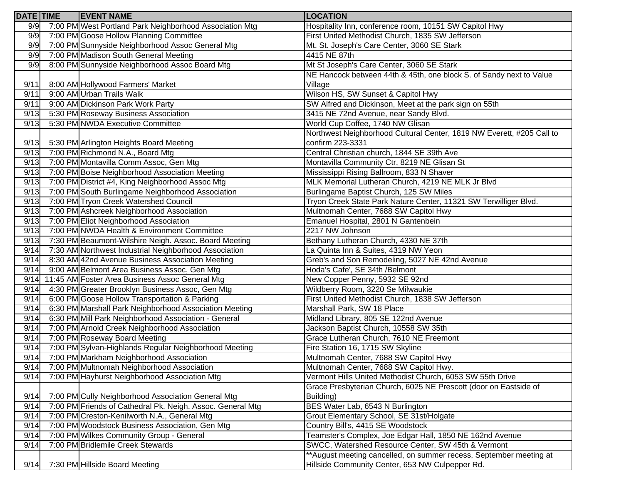| <b>DATE</b> TIME | <b>EVENT NAME</b>                                          | <b>LOCATION</b>                                                       |
|------------------|------------------------------------------------------------|-----------------------------------------------------------------------|
| 9/9              | 7:00 PM West Portland Park Neighborhood Association Mtg    | Hospitality Inn, conference room, 10151 SW Capitol Hwy                |
| 9/9              | 7:00 PM Goose Hollow Planning Committee                    | First United Methodist Church, 1835 SW Jefferson                      |
| 9/9              | 7:00 PM Sunnyside Neighborhood Assoc General Mtg           | Mt. St. Joseph's Care Center, 3060 SE Stark                           |
| 9/9              | 7:00 PM Madison South General Meeting                      | 4415 NE 87th                                                          |
| 9/9              | 8:00 PM Sunnyside Neighborhood Assoc Board Mtg             | Mt St Joseph's Care Center, 3060 SE Stark                             |
|                  |                                                            | NE Hancock between 44th & 45th, one block S. of Sandy next to Value   |
| 9/11             | 8:00 AM Hollywood Farmers' Market                          | Village                                                               |
| 9/11             | 9:00 AM Urban Trails Walk                                  | Wilson HS, SW Sunset & Capitol Hwy                                    |
| 9/11             | 9:00 AM Dickinson Park Work Party                          | SW Alfred and Dickinson, Meet at the park sign on 55th                |
| 9/13             | 5:30 PM Roseway Business Association                       | 3415 NE 72nd Avenue, near Sandy Blvd.                                 |
| 9/13             | 5:30 PM NWDA Executive Committee                           | World Cup Coffee, 1740 NW Glisan                                      |
|                  |                                                            | Northwest Neighborhood Cultural Center, 1819 NW Everett, #205 Call to |
| 9/13             | 5:30 PM Arlington Heights Board Meeting                    | confirm 223-3331                                                      |
| 9/13             | 7:00 PM Richmond N.A., Board Mtg                           | Central Christian church, 1844 SE 39th Ave                            |
| 9/13             | 7:00 PM Montavilla Comm Assoc, Gen Mtg                     | Montavilla Community Ctr, 8219 NE Glisan St                           |
| 9/13             | 7:00 PM Boise Neighborhood Association Meeting             | Mississippi Rising Ballroom, 833 N Shaver                             |
| 9/13             | 7:00 PM District #4, King Neighborhood Assoc Mtg           | MLK Memorial Lutheran Church, 4219 NE MLK Jr Blvd                     |
| 9/13             | 7:00 PM South Burlingame Neighborhood Association          | Burlingame Baptist Church, 125 SW Miles                               |
| 9/13             | 7:00 PM Tryon Creek Watershed Council                      | Tryon Creek State Park Nature Center, 11321 SW Terwilliger Blvd.      |
| 9/13             | 7:00 PM Ashcreek Neighborhood Association                  | Multnomah Center, 7688 SW Capitol Hwy                                 |
| 9/13             | 7:00 PM Eliot Neighborhood Association                     | Emanuel Hospital, 2801 N Gantenbein                                   |
| 9/13             | 7:00 PM NWDA Health & Environment Committee                | 2217 NW Johnson                                                       |
| 9/13             | 7:30 PM Beaumont-Wilshire Neigh. Assoc. Board Meeting      | Bethany Lutheran Church, 4330 NE 37th                                 |
| 9/14             | 7:30 AM Northwest Industrial Neighborhood Association      | La Quinta Inn & Suites, 4319 NW Yeon                                  |
| 9/14             | 8:30 AM 42nd Avenue Business Association Meeting           | Greb's and Son Remodeling, 5027 NE 42nd Avenue                        |
| 9/14             | 9:00 AM Belmont Area Business Assoc, Gen Mtg               | Hoda's Cafe', SE 34th /Belmont                                        |
| 9/14             | 11:45 AM Foster Area Business Assoc General Mtg            | New Copper Penny, 5932 SE 92nd                                        |
| 9/14             | 4:30 PM Greater Brooklyn Business Assoc, Gen Mtg           | Wildberry Room, 3220 Se Milwaukie                                     |
| 9/14             | 6:00 PM Goose Hollow Transportation & Parking              | First United Methodist Church, 1838 SW Jefferson                      |
| 9/14             | 6:30 PM Marshall Park Neighborhood Association Meeting     | Marshall Park, SW 18 Place                                            |
| 9/14             | 6:30 PM Mill Park Neighborhood Association - General       | Midland Library, 805 SE 122nd Avenue                                  |
| 9/14             | 7:00 PM Arnold Creek Neighborhood Association              | Jackson Baptist Church, 10558 SW 35th                                 |
| 9/14             | 7:00 PM Roseway Board Meeting                              | Grace Lutheran Church, 7610 NE Freemont                               |
| 9/14             | 7:00 PM Sylvan-Highlands Regular Neighborhood Meeting      | Fire Station 16, 1715 SW Skyline                                      |
| 9/14             | 7:00 PM Markham Neighborhood Association                   | Multnomah Center, 7688 SW Capitol Hwy                                 |
| 9/14             | 7:00 PM Multnomah Neighborhood Association                 | Multnomah Center, 7688 SW Capitol Hwy.                                |
| 9/14             | 7:00 PM Hayhurst Neighborhood Association Mtg              | Vermont Hills United Methodist Church, 6053 SW 55th Drive             |
|                  |                                                            | Grace Presbyterian Church, 6025 NE Prescott (door on Eastside of      |
| 9/14             | 7:00 PM Cully Neighborhood Association General Mtg         | Building)                                                             |
| 9/14             | 7:00 PM Friends of Cathedral Pk. Neigh. Assoc. General Mtg | BES Water Lab, 6543 N Burlington                                      |
| 9/14             | 7:00 PM Creston-Kenilworth N.A., General Mtg               | Grout Elementary School, SE 31st/Holgate                              |
| 9/14             | 7:00 PM Woodstock Business Association, Gen Mtg            | Country Bill's, 4415 SE Woodstock                                     |
| 9/14             | 7:00 PM Wilkes Community Group - General                   | Teamster's Complex, Joe Edgar Hall, 1850 NE 162nd Avenue              |
| 9/14             | 7:00 PM Bridlemile Creek Stewards                          | SWCC, Watershed Resource Center, SW 45th & Vermont                    |
|                  |                                                            | *August meeting cancelled, on summer recess, September meeting at     |
| 9/14             | 7:30 PM Hillside Board Meeting                             | Hillside Community Center, 653 NW Culpepper Rd.                       |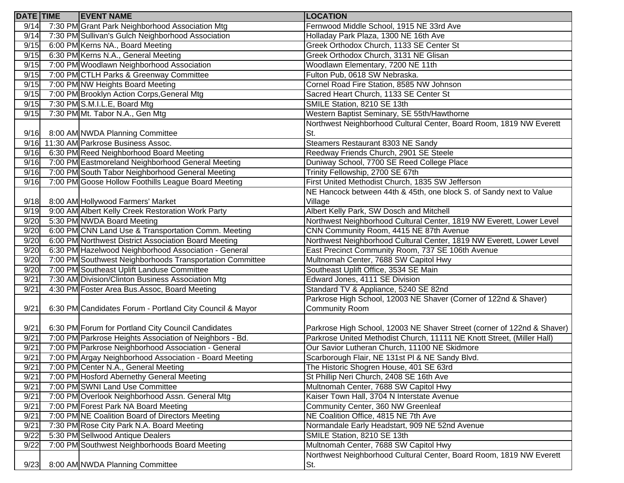| <b>DATE</b> TIME | <b>EVENT NAME</b>                                        | <b>LOCATION</b>                                                         |
|------------------|----------------------------------------------------------|-------------------------------------------------------------------------|
| 9/14             | 7:30 PM Grant Park Neighborhood Association Mtg          | Fernwood Middle School, 1915 NE 33rd Ave                                |
| 9/14             | 7:30 PM Sullivan's Gulch Neighborhood Association        | Holladay Park Plaza, 1300 NE 16th Ave                                   |
| 9/15             | 6:00 PM Kerns NA., Board Meeting                         | Greek Orthodox Church, 1133 SE Center St                                |
| 9/15             | 6:30 PM Kerns N.A., General Meeting                      | Greek Orthodox Church, 3131 NE Glisan                                   |
| 9/15             | 7:00 PM Woodlawn Neighborhood Association                | Woodlawn Elementary, 7200 NE 11th                                       |
| 9/15             | 7:00 PM CTLH Parks & Greenway Committee                  | Fulton Pub, 0618 SW Nebraska.                                           |
| 9/15             | 7:00 PM NW Heights Board Meeting                         | Cornel Road Fire Station, 8585 NW Johnson                               |
| 9/15             | 7:00 PM Brooklyn Action Corps, General Mtg               | Sacred Heart Church, 1133 SE Center St                                  |
| 9/15             | 7:30 PM S.M.I.L.E, Board Mtg                             | SMILE Station, 8210 SE 13th                                             |
| 9/15             | 7:30 PM Mt. Tabor N.A., Gen Mtg                          | Western Baptist Seminary, SE 55th/Hawthorne                             |
|                  |                                                          | Northwest Neighborhood Cultural Center, Board Room, 1819 NW Everett     |
| 9/16             | 8:00 AM NWDA Planning Committee                          | St.                                                                     |
|                  | 9/16 11:30 AM Parkrose Business Assoc.                   | Steamers Restaurant 8303 NE Sandy                                       |
| 9/16             | 6:30 PM Reed Neighborhood Board Meeting                  | Reedway Friends Church, 2901 SE Steele                                  |
| 9/16             | 7:00 PM Eastmoreland Neighborhood General Meeting        | Duniway School, 7700 SE Reed College Place                              |
| 9/16             | 7:00 PM South Tabor Neighborhood General Meeting         | Trinity Fellowship, 2700 SE 67th                                        |
| 9/16             | 7:00 PM Goose Hollow Foothills League Board Meeting      | First United Methodist Church, 1835 SW Jefferson                        |
|                  |                                                          | NE Hancock between 44th & 45th, one block S. of Sandy next to Value     |
| 9/18             | 8:00 AM Hollywood Farmers' Market                        | Village                                                                 |
| 9/19             | 9:00 AM Albert Kelly Creek Restoration Work Party        | Albert Kelly Park, SW Dosch and Mitchell                                |
| 9/20             | 5:30 PM NWDA Board Meeting                               | Northwest Neighborhood Cultural Center, 1819 NW Everett, Lower Level    |
| 9/20             | 6:00 PM CNN Land Use & Transportation Comm. Meeting      | CNN Community Room, 4415 NE 87th Avenue                                 |
| 9/20             | 6:00 PM Northwest District Association Board Meeting     | Northwest Neighborhood Cultural Center, 1819 NW Everett, Lower Level    |
| 9/20             | 6:30 PM Hazelwood Neighborhood Association - General     | East Precinct Community Room, 737 SE 106th Avenue                       |
| 9/20             | 7:00 PM Southwest Neighborhoods Transportation Committee | Multnomah Center, 7688 SW Capitol Hwy                                   |
| 9/20             | 7:00 PM Southeast Uplift Landuse Committee               | Southeast Uplift Office, 3534 SE Main                                   |
| 9/21             | 7:30 AM Division/Clinton Business Association Mtg        | Edward Jones, 4111 SE Division                                          |
| 9/21             | 4:30 PM Foster Area Bus.Assoc, Board Meeting             | Standard TV & Appliance, 5240 SE 82nd                                   |
|                  |                                                          | Parkrose High School, 12003 NE Shaver (Corner of 122nd & Shaver)        |
| 9/21             | 6:30 PM Candidates Forum - Portland City Council & Mayor | <b>Community Room</b>                                                   |
|                  |                                                          |                                                                         |
| 9/21             | 6:30 PM Forum for Portland City Council Candidates       | Parkrose High School, 12003 NE Shaver Street (corner of 122nd & Shaver) |
| 9/21             | 7:00 PM Parkrose Heights Association of Neighbors - Bd.  | Parkrose United Methodist Church, 11111 NE Knott Street, (Miller Hall)  |
| 9/21             | 7:00 PM Parkrose Neighborhood Association - General      | Our Savior Lutheran Church, 11100 NE Skidmore                           |
| 9/21             | 7:00 PM Argay Neighborhood Association - Board Meeting   | Scarborough Flair, NE 131st PI & NE Sandy Blvd.                         |
| 9/21             | 7:00 PM Center N.A., General Meeting                     | The Historic Shogren House, 401 SE 63rd                                 |
| 9/21             | 7:00 PM Hosford Abernethy General Meeting                | St Phillip Neri Church, 2408 SE 16th Ave                                |
| 9/21             | 7:00 PM SWNI Land Use Committee                          | Multnomah Center, 7688 SW Capitol Hwy                                   |
| 9/21             | 7:00 PM Overlook Neighborhood Assn. General Mtg          | Kaiser Town Hall, 3704 N Interstate Avenue                              |
| 9/21             | 7:00 PM Forest Park NA Board Meeting                     | Community Center, 360 NW Greenleaf                                      |
| 9/21             | 7:00 PM NE Coalition Board of Directors Meeting          | NE Coalition Office, 4815 NE 7th Ave                                    |
| 9/21             | 7:30 PM Rose City Park N.A. Board Meeting                | Normandale Early Headstart, 909 NE 52nd Avenue                          |
| 9/22             | 5:30 PM Sellwood Antique Dealers                         | SMILE Station, 8210 SE 13th                                             |
| 9/22             | 7:00 PM Southwest Neighborhoods Board Meeting            | Multnomah Center, 7688 SW Capitol Hwy                                   |
|                  |                                                          | Northwest Neighborhood Cultural Center, Board Room, 1819 NW Everett     |
| 9/23             | 8:00 AM NWDA Planning Committee                          | St.                                                                     |